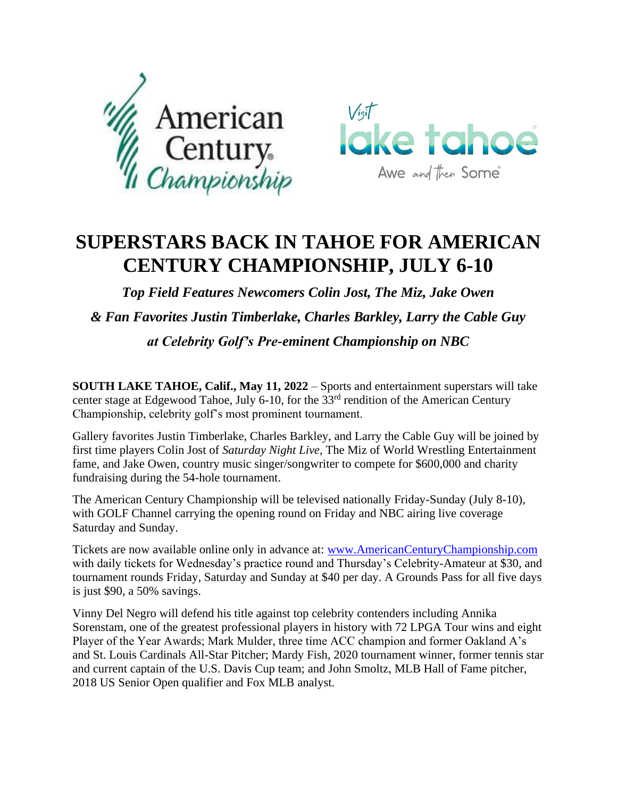



## **SUPERSTARS BACK IN TAHOE FOR AMERICAN CENTURY CHAMPIONSHIP, JULY 6-10**

*Top Field Features Newcomers Colin Jost, The Miz, Jake Owen & Fan Favorites Justin Timberlake, Charles Barkley, Larry the Cable Guy at Celebrity Golf's Pre-eminent Championship on NBC* 

**SOUTH LAKE TAHOE, Calif., May 11, 2022** – Sports and entertainment superstars will take center stage at Edgewood Tahoe, July 6-10, for the 33<sup>rd</sup> rendition of the American Century Championship, celebrity golf's most prominent tournament.

Gallery favorites Justin Timberlake, Charles Barkley, and Larry the Cable Guy will be joined by first time players Colin Jost of *Saturday Night Live*, The Miz of World Wrestling Entertainment fame, and Jake Owen, country music singer/songwriter to compete for \$600,000 and charity fundraising during the 54-hole tournament.

The American Century Championship will be televised nationally Friday-Sunday (July 8-10), with GOLF Channel carrying the opening round on Friday and NBC airing live coverage Saturday and Sunday.

Tickets are now available online only in advance at: [www.AmericanCenturyChampionship.com](http://www.americancenturychampionship.com/) with daily tickets for Wednesday's practice round and Thursday's Celebrity-Amateur at \$30, and tournament rounds Friday, Saturday and Sunday at \$40 per day. A Grounds Pass for all five days is just \$90, a 50% savings.

Vinny Del Negro will defend his title against top celebrity contenders including Annika Sorenstam, one of the greatest professional players in history with 72 LPGA Tour wins and eight Player of the Year Awards; Mark Mulder, three time ACC champion and former Oakland A's and St. Louis Cardinals All-Star Pitcher; Mardy Fish, 2020 tournament winner, former tennis star and current captain of the U.S. Davis Cup team; and John Smoltz, MLB Hall of Fame pitcher, 2018 US Senior Open qualifier and Fox MLB analyst.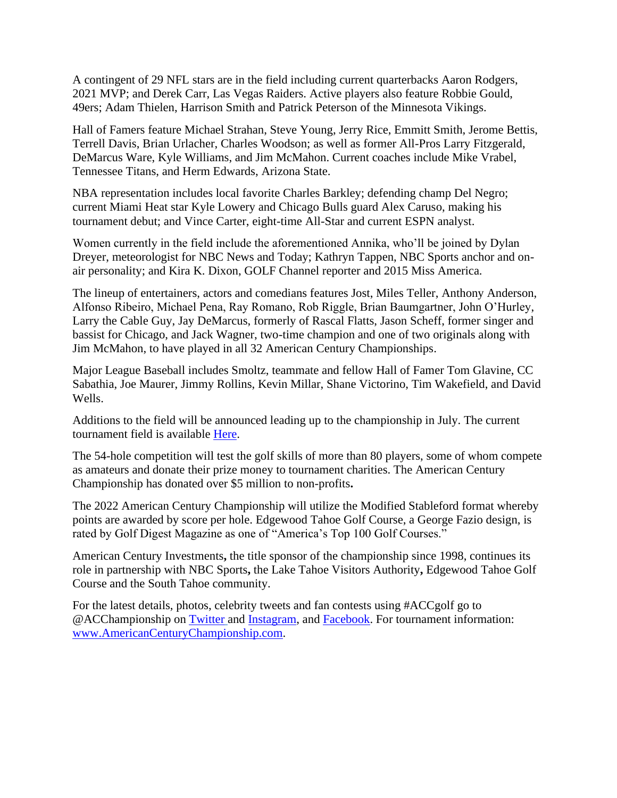A contingent of 29 NFL stars are in the field including current quarterbacks Aaron Rodgers, 2021 MVP; and Derek Carr, Las Vegas Raiders. Active players also feature Robbie Gould, 49ers; Adam Thielen, Harrison Smith and Patrick Peterson of the Minnesota Vikings.

Hall of Famers feature Michael Strahan, Steve Young, Jerry Rice, Emmitt Smith, Jerome Bettis, Terrell Davis, Brian Urlacher, Charles Woodson; as well as former All-Pros Larry Fitzgerald, DeMarcus Ware, Kyle Williams, and Jim McMahon. Current coaches include Mike Vrabel, Tennessee Titans, and Herm Edwards, Arizona State.

NBA representation includes local favorite Charles Barkley; defending champ Del Negro; current Miami Heat star Kyle Lowery and Chicago Bulls guard Alex Caruso, making his tournament debut; and Vince Carter, eight-time All-Star and current ESPN analyst.

Women currently in the field include the aforementioned Annika, who'll be joined by Dylan Dreyer, meteorologist for NBC News and Today; Kathryn Tappen, NBC Sports anchor and onair personality; and Kira K. Dixon, GOLF Channel reporter and 2015 Miss America.

The lineup of entertainers, actors and comedians features Jost, Miles Teller, Anthony Anderson, Alfonso Ribeiro, Michael Pena, Ray Romano, Rob Riggle, Brian Baumgartner, John O'Hurley, Larry the Cable Guy, Jay DeMarcus, formerly of Rascal Flatts, Jason Scheff, former singer and bassist for Chicago, and Jack Wagner, two-time champion and one of two originals along with Jim McMahon, to have played in all 32 American Century Championships.

Major League Baseball includes Smoltz, teammate and fellow Hall of Famer Tom Glavine, CC Sabathia, Joe Maurer, Jimmy Rollins, Kevin Millar, Shane Victorino, Tim Wakefield, and David Wells.

Additions to the field will be announced leading up to the championship in July. The current tournament field is available [Here.](https://americancenturychampionship.com/category/celebrities/)

The 54-hole competition will test the golf skills of more than 80 players, some of whom compete as amateurs and donate their prize money to tournament charities. The American Century Championship has donated over \$5 million to non-profits**.**

The 2022 American Century Championship will utilize the Modified Stableford format whereby points are awarded by score per hole. Edgewood Tahoe Golf Course, a George Fazio design, is rated by Golf Digest Magazine as one of "America's Top 100 Golf Courses."

American Century Investments**,** the title sponsor of the championship since 1998, continues its role in partnership with NBC Sports**,** the Lake Tahoe Visitors Authority**,** Edgewood Tahoe Golf Course and the South Tahoe community.

For the latest details, photos, celebrity tweets and fan contests using #ACCgolf go to @ACChampionship on [Twitter](https://twitter.com/ACChampionship) and [Instagram,](https://www.instagram.com/acchampionship/) and [Facebook.](https://www.facebook.com/ACChampionship) For tournament information: [www.AmericanCenturyChampionship.com.](http://www.americancenturychampionship.com/)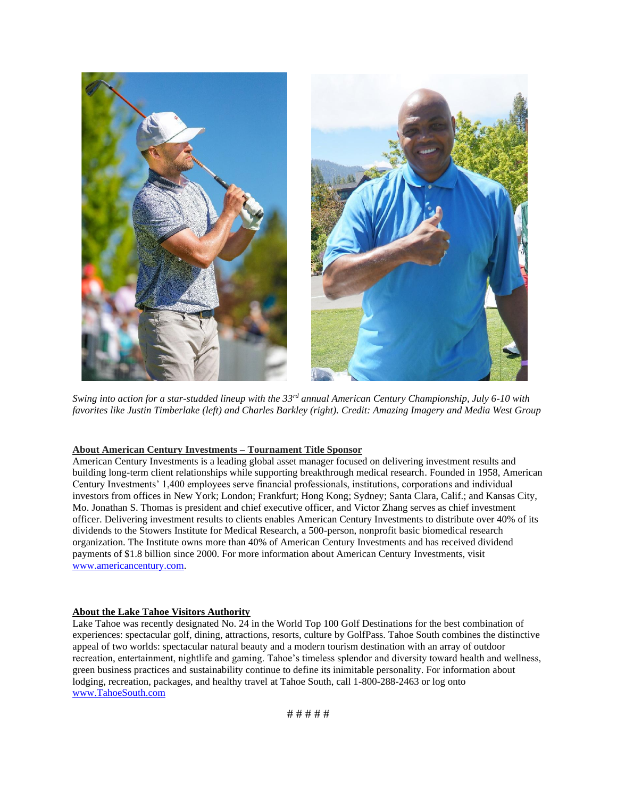

*Swing into action for a star-studded lineup with the 33rd annual American Century Championship, July 6-10 with favorites like Justin Timberlake (left) and Charles Barkley (right). Credit: Amazing Imagery and Media West Group*

## **About American Century Investments – Tournament Title Sponsor**

American Century Investments is a leading global asset manager focused on delivering investment results and building long-term client relationships while supporting breakthrough medical research. Founded in 1958, American Century Investments' 1,400 employees serve financial professionals, institutions, corporations and individual investors from offices in New York; London; Frankfurt; Hong Kong; Sydney; Santa Clara, Calif.; and Kansas City, Mo. Jonathan S. Thomas is president and chief executive officer, and Victor Zhang serves as chief investment officer. Delivering investment results to clients enables American Century Investments to distribute over 40% of its dividends to the Stowers Institute for Medical Research, a 500-person, nonprofit basic biomedical research organization. The Institute owns more than 40% of American Century Investments and has received dividend payments of \$1.8 billion since 2000. For more information about American Century Investments, visit [www.americancentury.com.](http://www.americancentury.com/)

## **About the Lake Tahoe Visitors Authority**

Lake Tahoe was recently designated No. 24 in the World Top 100 Golf Destinations for the best combination of experiences: spectacular golf, dining, attractions, resorts, culture by GolfPass. Tahoe South combines the distinctive appeal of two worlds: spectacular natural beauty and a modern tourism destination with an array of outdoor recreation, entertainment, nightlife and gaming. Tahoe's timeless splendor and diversity toward health and wellness, green business practices and sustainability continue to define its inimitable personality. For information about lodging, recreation, packages, and healthy travel at Tahoe South, call 1-800-288-2463 or log onto [www.TahoeSouth.com](http://www.tahoesouth.com/)